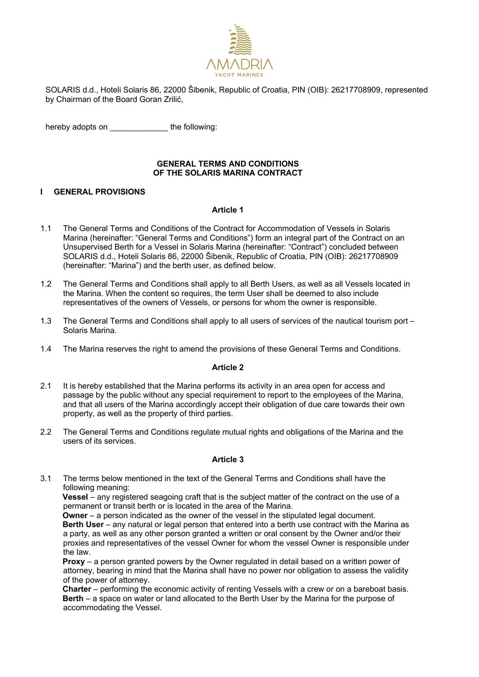

SOLARIS d.d., Hoteli Solaris 86, 22000 Šibenik, Republic of Croatia, PIN (OIB): 26217708909, represented by Chairman of the Board Goran Zrilić,

hereby adopts on **the following:** 

### **GENERAL TERMS AND CONDITIONS OF THE SOLARIS MARINA CONTRACT**

### **I GENERAL PROVISIONS**

#### **Article 1**

- 1.1 The General Terms and Conditions of the Contract for Accommodation of Vessels in Solaris Marina (hereinafter: "General Terms and Conditions") form an integral part of the Contract on an Unsupervised Berth for a Vessel in Solaris Marina (hereinafter: "Contract") concluded between SOLARIS d.d., Hoteli Solaris 86, 22000 Šibenik, Republic of Croatia, PIN (OIB): 26217708909 (hereinafter: "Marina") and the berth user, as defined below.
- 1.2 The General Terms and Conditions shall apply to all Berth Users, as well as all Vessels located in the Marina. When the content so requires, the term User shall be deemed to also include representatives of the owners of Vessels, or persons for whom the owner is responsible.
- 1.3 The General Terms and Conditions shall apply to all users of services of the nautical tourism port Solaris Marina.
- 1.4 The Marina reserves the right to amend the provisions of these General Terms and Conditions.

### **Article 2**

- 2.1 It is hereby established that the Marina performs its activity in an area open for access and passage by the public without any special requirement to report to the employees of the Marina, and that all users of the Marina accordingly accept their obligation of due care towards their own property, as well as the property of third parties.
- 2.2 The General Terms and Conditions regulate mutual rights and obligations of the Marina and the users of its services.

### **Article 3**

3.1 The terms below mentioned in the text of the General Terms and Conditions shall have the following meaning:

**Vessel** – any registered seagoing craft that is the subject matter of the contract on the use of a permanent or transit berth or is located in the area of the Marina.

**Owner** – a person indicated as the owner of the vessel in the stipulated legal document. **Berth User** – any natural or legal person that entered into a berth use contract with the Marina as a party, as well as any other person granted a written or oral consent by the Owner and/or their proxies and representatives of the vessel Owner for whom the vessel Owner is responsible under the law.

**Proxy** – a person granted powers by the Owner regulated in detail based on a written power of attorney, bearing in mind that the Marina shall have no power nor obligation to assess the validity of the power of attorney.

**Charter** – performing the economic activity of renting Vessels with a crew or on a bareboat basis. **Berth** – a space on water or land allocated to the Berth User by the Marina for the purpose of accommodating the Vessel.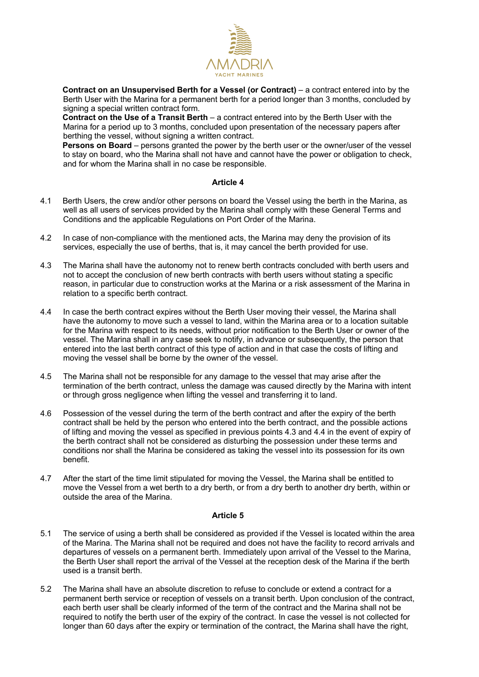

**Contract on an Unsupervised Berth for a Vessel (or Contract)** – a contract entered into by the Berth User with the Marina for a permanent berth for a period longer than 3 months, concluded by signing a special written contract form.

**Contract on the Use of a Transit Berth** – a contract entered into by the Berth User with the Marina for a period up to 3 months, concluded upon presentation of the necessary papers after berthing the vessel, without signing a written contract.

**Persons on Board** – persons granted the power by the berth user or the owner/user of the vessel to stay on board, who the Marina shall not have and cannot have the power or obligation to check, and for whom the Marina shall in no case be responsible.

## **Article 4**

- 4.1 Berth Users, the crew and/or other persons on board the Vessel using the berth in the Marina, as well as all users of services provided by the Marina shall comply with these General Terms and Conditions and the applicable Regulations on Port Order of the Marina.
- 4.2 In case of non-compliance with the mentioned acts, the Marina may deny the provision of its services, especially the use of berths, that is, it may cancel the berth provided for use.
- 4.3 The Marina shall have the autonomy not to renew berth contracts concluded with berth users and not to accept the conclusion of new berth contracts with berth users without stating a specific reason, in particular due to construction works at the Marina or a risk assessment of the Marina in relation to a specific berth contract.
- 4.4 In case the berth contract expires without the Berth User moving their vessel, the Marina shall have the autonomy to move such a vessel to land, within the Marina area or to a location suitable for the Marina with respect to its needs, without prior notification to the Berth User or owner of the vessel. The Marina shall in any case seek to notify, in advance or subsequently, the person that entered into the last berth contract of this type of action and in that case the costs of lifting and moving the vessel shall be borne by the owner of the vessel.
- 4.5 The Marina shall not be responsible for any damage to the vessel that may arise after the termination of the berth contract, unless the damage was caused directly by the Marina with intent or through gross negligence when lifting the vessel and transferring it to land.
- 4.6 Possession of the vessel during the term of the berth contract and after the expiry of the berth contract shall be held by the person who entered into the berth contract, and the possible actions of lifting and moving the vessel as specified in previous points 4.3 and 4.4 in the event of expiry of the berth contract shall not be considered as disturbing the possession under these terms and conditions nor shall the Marina be considered as taking the vessel into its possession for its own benefit.
- 4.7 After the start of the time limit stipulated for moving the Vessel, the Marina shall be entitled to move the Vessel from a wet berth to a dry berth, or from a dry berth to another dry berth, within or outside the area of the Marina.

- 5.1 The service of using a berth shall be considered as provided if the Vessel is located within the area of the Marina. The Marina shall not be required and does not have the facility to record arrivals and departures of vessels on a permanent berth. Immediately upon arrival of the Vessel to the Marina, the Berth User shall report the arrival of the Vessel at the reception desk of the Marina if the berth used is a transit berth.
- 5.2 The Marina shall have an absolute discretion to refuse to conclude or extend a contract for a permanent berth service or reception of vessels on a transit berth. Upon conclusion of the contract, each berth user shall be clearly informed of the term of the contract and the Marina shall not be required to notify the berth user of the expiry of the contract. In case the vessel is not collected for longer than 60 days after the expiry or termination of the contract, the Marina shall have the right,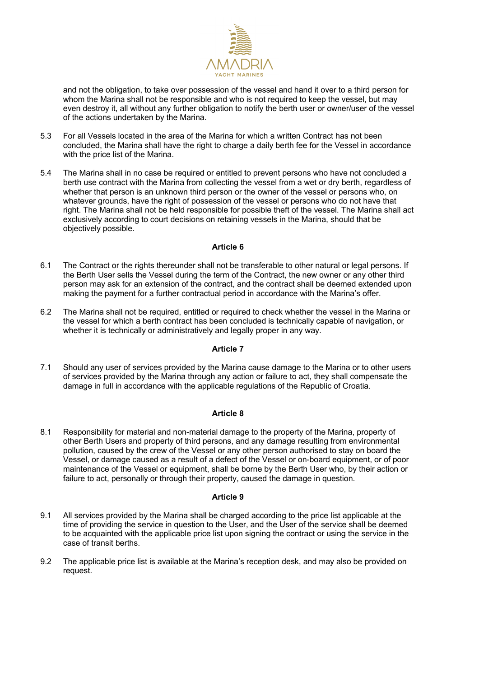

and not the obligation, to take over possession of the vessel and hand it over to a third person for whom the Marina shall not be responsible and who is not required to keep the vessel, but may even destroy it, all without any further obligation to notify the berth user or owner/user of the vessel of the actions undertaken by the Marina.

- 5.3 For all Vessels located in the area of the Marina for which a written Contract has not been concluded, the Marina shall have the right to charge a daily berth fee for the Vessel in accordance with the price list of the Marina.
- 5.4 The Marina shall in no case be required or entitled to prevent persons who have not concluded a berth use contract with the Marina from collecting the vessel from a wet or dry berth, regardless of whether that person is an unknown third person or the owner of the vessel or persons who, on whatever grounds, have the right of possession of the vessel or persons who do not have that right. The Marina shall not be held responsible for possible theft of the vessel. The Marina shall act exclusively according to court decisions on retaining vessels in the Marina, should that be objectively possible.

### **Article 6**

- 6.1 The Contract or the rights thereunder shall not be transferable to other natural or legal persons. If the Berth User sells the Vessel during the term of the Contract, the new owner or any other third person may ask for an extension of the contract, and the contract shall be deemed extended upon making the payment for a further contractual period in accordance with the Marina's offer.
- 6.2 The Marina shall not be required, entitled or required to check whether the vessel in the Marina or the vessel for which a berth contract has been concluded is technically capable of navigation, or whether it is technically or administratively and legally proper in any way.

#### **Article 7**

7.1 Should any user of services provided by the Marina cause damage to the Marina or to other users of services provided by the Marina through any action or failure to act, they shall compensate the damage in full in accordance with the applicable regulations of the Republic of Croatia.

# **Article 8**

8.1 Responsibility for material and non-material damage to the property of the Marina, property of other Berth Users and property of third persons, and any damage resulting from environmental pollution, caused by the crew of the Vessel or any other person authorised to stay on board the Vessel, or damage caused as a result of a defect of the Vessel or on-board equipment, or of poor maintenance of the Vessel or equipment, shall be borne by the Berth User who, by their action or failure to act, personally or through their property, caused the damage in question.

- 9.1 All services provided by the Marina shall be charged according to the price list applicable at the time of providing the service in question to the User, and the User of the service shall be deemed to be acquainted with the applicable price list upon signing the contract or using the service in the case of transit berths.
- 9.2 The applicable price list is available at the Marina's reception desk, and may also be provided on request.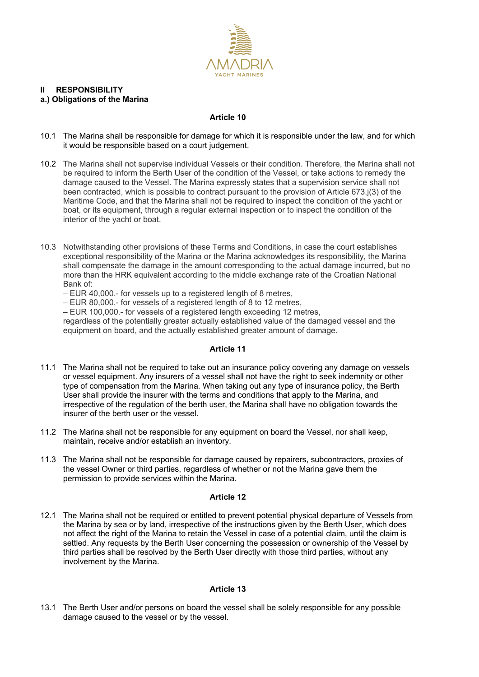

# **II RESPONSIBILITY a.) Obligations of the Marina**

# **Article 10**

- 10.1 The Marina shall be responsible for damage for which it is responsible under the law, and for which it would be responsible based on a court judgement.
- 10.2 The Marina shall not supervise individual Vessels or their condition. Therefore, the Marina shall not be required to inform the Berth User of the condition of the Vessel, or take actions to remedy the damage caused to the Vessel. The Marina expressly states that a supervision service shall not been contracted, which is possible to contract pursuant to the provision of Article 673.j(3) of the Maritime Code, and that the Marina shall not be required to inspect the condition of the yacht or boat, or its equipment, through a regular external inspection or to inspect the condition of the interior of the yacht or boat.
- 10.3 Notwithstanding other provisions of these Terms and Conditions, in case the court establishes exceptional responsibility of the Marina or the Marina acknowledges its responsibility, the Marina shall compensate the damage in the amount corresponding to the actual damage incurred, but no more than the HRK equivalent according to the middle exchange rate of the Croatian National Bank of:
	- EUR 40,000.- for vessels up to a registered length of 8 metres,
	- EUR 80,000.- for vessels of a registered length of 8 to 12 metres,
	- EUR 100,000.- for vessels of a registered length exceeding 12 metres,

regardless of the potentially greater actually established value of the damaged vessel and the equipment on board, and the actually established greater amount of damage.

# **Article 11**

- 11.1 The Marina shall not be required to take out an insurance policy covering any damage on vessels or vessel equipment. Any insurers of a vessel shall not have the right to seek indemnity or other type of compensation from the Marina. When taking out any type of insurance policy, the Berth User shall provide the insurer with the terms and conditions that apply to the Marina, and irrespective of the regulation of the berth user, the Marina shall have no obligation towards the insurer of the berth user or the vessel.
- 11.2 The Marina shall not be responsible for any equipment on board the Vessel, nor shall keep, maintain, receive and/or establish an inventory.
- 11.3 The Marina shall not be responsible for damage caused by repairers, subcontractors, proxies of the vessel Owner or third parties, regardless of whether or not the Marina gave them the permission to provide services within the Marina.

#### **Article 12**

12.1 The Marina shall not be required or entitled to prevent potential physical departure of Vessels from the Marina by sea or by land, irrespective of the instructions given by the Berth User, which does not affect the right of the Marina to retain the Vessel in case of a potential claim, until the claim is settled. Any requests by the Berth User concerning the possession or ownership of the Vessel by third parties shall be resolved by the Berth User directly with those third parties, without any involvement by the Marina.

# **Article 13**

13.1 The Berth User and/or persons on board the vessel shall be solely responsible for any possible damage caused to the vessel or by the vessel.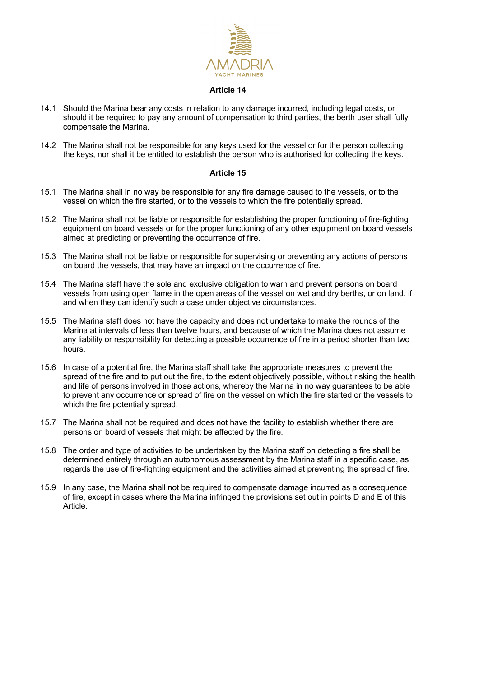

#### **Article 14**

- 14.1 Should the Marina bear any costs in relation to any damage incurred, including legal costs, or should it be required to pay any amount of compensation to third parties, the berth user shall fully compensate the Marina.
- 14.2 The Marina shall not be responsible for any keys used for the vessel or for the person collecting the keys, nor shall it be entitled to establish the person who is authorised for collecting the keys.

- 15.1 The Marina shall in no way be responsible for any fire damage caused to the vessels, or to the vessel on which the fire started, or to the vessels to which the fire potentially spread.
- 15.2 The Marina shall not be liable or responsible for establishing the proper functioning of fire-fighting equipment on board vessels or for the proper functioning of any other equipment on board vessels aimed at predicting or preventing the occurrence of fire.
- 15.3 The Marina shall not be liable or responsible for supervising or preventing any actions of persons on board the vessels, that may have an impact on the occurrence of fire.
- 15.4 The Marina staff have the sole and exclusive obligation to warn and prevent persons on board vessels from using open flame in the open areas of the vessel on wet and dry berths, or on land, if and when they can identify such a case under objective circumstances.
- 15.5 The Marina staff does not have the capacity and does not undertake to make the rounds of the Marina at intervals of less than twelve hours, and because of which the Marina does not assume any liability or responsibility for detecting a possible occurrence of fire in a period shorter than two hours.
- 15.6 In case of a potential fire, the Marina staff shall take the appropriate measures to prevent the spread of the fire and to put out the fire, to the extent objectively possible, without risking the health and life of persons involved in those actions, whereby the Marina in no way guarantees to be able to prevent any occurrence or spread of fire on the vessel on which the fire started or the vessels to which the fire potentially spread.
- 15.7 The Marina shall not be required and does not have the facility to establish whether there are persons on board of vessels that might be affected by the fire.
- 15.8 The order and type of activities to be undertaken by the Marina staff on detecting a fire shall be determined entirely through an autonomous assessment by the Marina staff in a specific case, as regards the use of fire-fighting equipment and the activities aimed at preventing the spread of fire.
- 15.9 In any case, the Marina shall not be required to compensate damage incurred as a consequence of fire, except in cases where the Marina infringed the provisions set out in points D and E of this Article.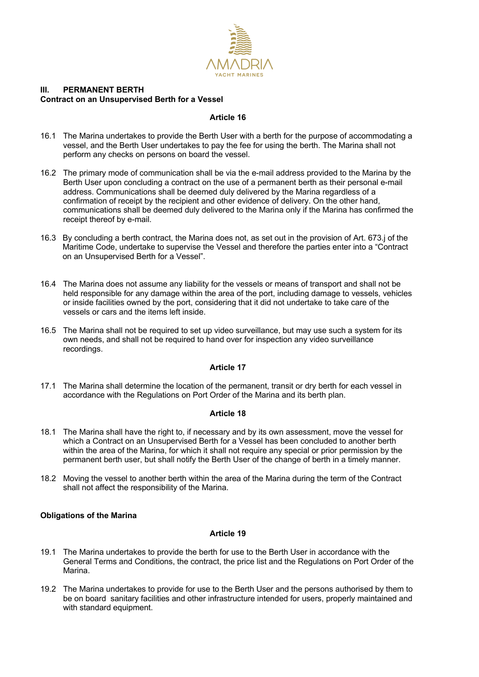

# **III. PERMANENT BERTH Contract on an Unsupervised Berth for a Vessel**

## **Article 16**

- 16.1 The Marina undertakes to provide the Berth User with a berth for the purpose of accommodating a vessel, and the Berth User undertakes to pay the fee for using the berth. The Marina shall not perform any checks on persons on board the vessel.
- 16.2 The primary mode of communication shall be via the e-mail address provided to the Marina by the Berth User upon concluding a contract on the use of a permanent berth as their personal e-mail address. Communications shall be deemed duly delivered by the Marina regardless of a confirmation of receipt by the recipient and other evidence of delivery. On the other hand, communications shall be deemed duly delivered to the Marina only if the Marina has confirmed the receipt thereof by e-mail.
- 16.3 By concluding a berth contract, the Marina does not, as set out in the provision of Art. 673.j of the Maritime Code, undertake to supervise the Vessel and therefore the parties enter into a "Contract on an Unsupervised Berth for a Vessel".
- 16.4 The Marina does not assume any liability for the vessels or means of transport and shall not be held responsible for any damage within the area of the port, including damage to vessels, vehicles or inside facilities owned by the port, considering that it did not undertake to take care of the vessels or cars and the items left inside.
- 16.5 The Marina shall not be required to set up video surveillance, but may use such a system for its own needs, and shall not be required to hand over for inspection any video surveillance recordings.

# **Article 17**

17.1 The Marina shall determine the location of the permanent, transit or dry berth for each vessel in accordance with the Regulations on Port Order of the Marina and its berth plan.

# **Article 18**

- 18.1 The Marina shall have the right to, if necessary and by its own assessment, move the vessel for which a Contract on an Unsupervised Berth for a Vessel has been concluded to another berth within the area of the Marina, for which it shall not require any special or prior permission by the permanent berth user, but shall notify the Berth User of the change of berth in a timely manner.
- 18.2 Moving the vessel to another berth within the area of the Marina during the term of the Contract shall not affect the responsibility of the Marina.

# **Obligations of the Marina**

- 19.1 The Marina undertakes to provide the berth for use to the Berth User in accordance with the General Terms and Conditions, the contract, the price list and the Regulations on Port Order of the Marina.
- 19.2 The Marina undertakes to provide for use to the Berth User and the persons authorised by them to be on board sanitary facilities and other infrastructure intended for users, properly maintained and with standard equipment.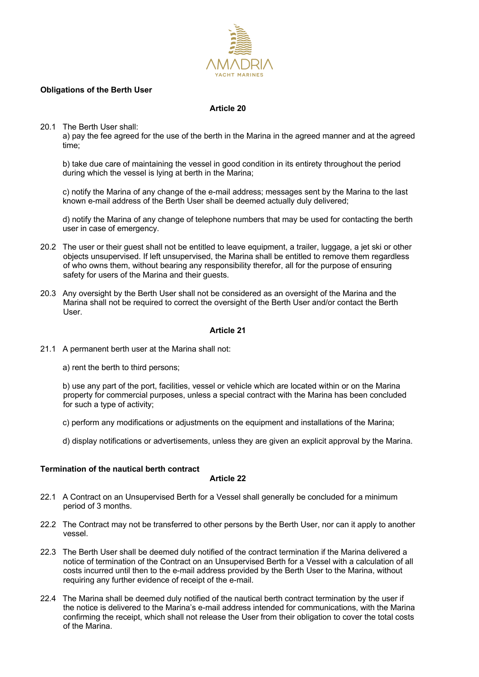

## **Obligations of the Berth User**

## **Article 20**

20.1 The Berth User shall:

a) pay the fee agreed for the use of the berth in the Marina in the agreed manner and at the agreed time;

b) take due care of maintaining the vessel in good condition in its entirety throughout the period during which the vessel is lying at berth in the Marina;

c) notify the Marina of any change of the e-mail address; messages sent by the Marina to the last known e-mail address of the Berth User shall be deemed actually duly delivered;

d) notify the Marina of any change of telephone numbers that may be used for contacting the berth user in case of emergency.

- 20.2 The user or their guest shall not be entitled to leave equipment, a trailer, luggage, a jet ski or other objects unsupervised. If left unsupervised, the Marina shall be entitled to remove them regardless of who owns them, without bearing any responsibility therefor, all for the purpose of ensuring safety for users of the Marina and their guests.
- 20.3 Any oversight by the Berth User shall not be considered as an oversight of the Marina and the Marina shall not be required to correct the oversight of the Berth User and/or contact the Berth User.

### **Article 21**

- 21.1 A permanent berth user at the Marina shall not:
	- a) rent the berth to third persons;

b) use any part of the port, facilities, vessel or vehicle which are located within or on the Marina property for commercial purposes, unless a special contract with the Marina has been concluded for such a type of activity;

c) perform any modifications or adjustments on the equipment and installations of the Marina;

d) display notifications or advertisements, unless they are given an explicit approval by the Marina.

# **Termination of the nautical berth contract**

- 22.1 A Contract on an Unsupervised Berth for a Vessel shall generally be concluded for a minimum period of 3 months.
- 22.2 The Contract may not be transferred to other persons by the Berth User, nor can it apply to another vessel.
- 22.3 The Berth User shall be deemed duly notified of the contract termination if the Marina delivered a notice of termination of the Contract on an Unsupervised Berth for a Vessel with a calculation of all costs incurred until then to the e-mail address provided by the Berth User to the Marina, without requiring any further evidence of receipt of the e-mail.
- 22.4 The Marina shall be deemed duly notified of the nautical berth contract termination by the user if the notice is delivered to the Marina's e-mail address intended for communications, with the Marina confirming the receipt, which shall not release the User from their obligation to cover the total costs of the Marina.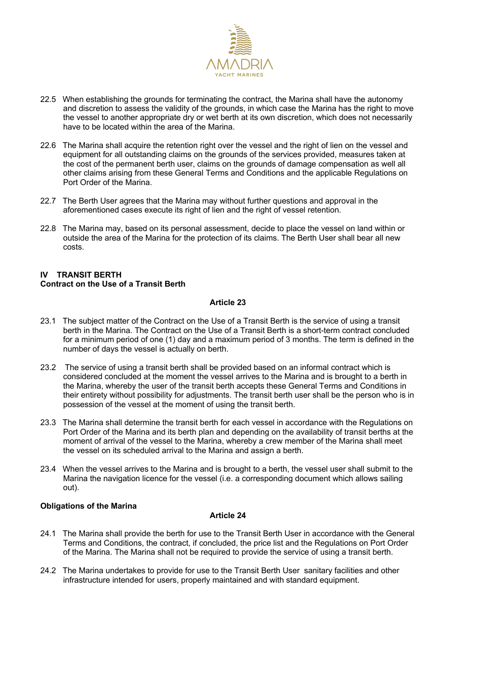

- 22.5 When establishing the grounds for terminating the contract, the Marina shall have the autonomy and discretion to assess the validity of the grounds, in which case the Marina has the right to move the vessel to another appropriate dry or wet berth at its own discretion, which does not necessarily have to be located within the area of the Marina.
- 22.6 The Marina shall acquire the retention right over the vessel and the right of lien on the vessel and equipment for all outstanding claims on the grounds of the services provided, measures taken at the cost of the permanent berth user, claims on the grounds of damage compensation as well all other claims arising from these General Terms and Conditions and the applicable Regulations on Port Order of the Marina.
- 22.7 The Berth User agrees that the Marina may without further questions and approval in the aforementioned cases execute its right of lien and the right of vessel retention.
- 22.8 The Marina may, based on its personal assessment, decide to place the vessel on land within or outside the area of the Marina for the protection of its claims. The Berth User shall bear all new costs.

## **IV TRANSIT BERTH Contract on the Use of a Transit Berth**

# **Article 23**

- 23.1 The subject matter of the Contract on the Use of a Transit Berth is the service of using a transit berth in the Marina. The Contract on the Use of a Transit Berth is a short-term contract concluded for a minimum period of one (1) day and a maximum period of 3 months. The term is defined in the number of days the vessel is actually on berth.
- 23.2 The service of using a transit berth shall be provided based on an informal contract which is considered concluded at the moment the vessel arrives to the Marina and is brought to a berth in the Marina, whereby the user of the transit berth accepts these General Terms and Conditions in their entirety without possibility for adjustments. The transit berth user shall be the person who is in possession of the vessel at the moment of using the transit berth.
- 23.3 The Marina shall determine the transit berth for each vessel in accordance with the Regulations on Port Order of the Marina and its berth plan and depending on the availability of transit berths at the moment of arrival of the vessel to the Marina, whereby a crew member of the Marina shall meet the vessel on its scheduled arrival to the Marina and assign a berth.
- 23.4 When the vessel arrives to the Marina and is brought to a berth, the vessel user shall submit to the Marina the navigation licence for the vessel (i.e. a corresponding document which allows sailing out).

# **Obligations of the Marina**

- 24.1 The Marina shall provide the berth for use to the Transit Berth User in accordance with the General Terms and Conditions, the contract, if concluded, the price list and the Regulations on Port Order of the Marina. The Marina shall not be required to provide the service of using a transit berth.
- 24.2 The Marina undertakes to provide for use to the Transit Berth User sanitary facilities and other infrastructure intended for users, properly maintained and with standard equipment.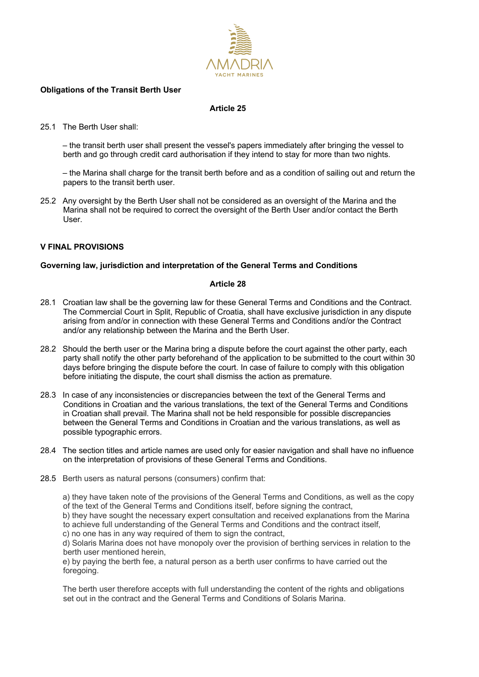

### **Obligations of the Transit Berth User**

### **Article 25**

### 25.1 The Berth User shall:

– the transit berth user shall present the vessel's papers immediately after bringing the vessel to berth and go through credit card authorisation if they intend to stay for more than two nights.

– the Marina shall charge for the transit berth before and as a condition of sailing out and return the papers to the transit berth user.

25.2 Any oversight by the Berth User shall not be considered as an oversight of the Marina and the Marina shall not be required to correct the oversight of the Berth User and/or contact the Berth User.

# **V FINAL PROVISIONS**

# **Governing law, jurisdiction and interpretation of the General Terms and Conditions**

#### **Article 28**

- 28.1 Croatian law shall be the governing law for these General Terms and Conditions and the Contract. The Commercial Court in Split, Republic of Croatia, shall have exclusive jurisdiction in any dispute arising from and/or in connection with these General Terms and Conditions and/or the Contract and/or any relationship between the Marina and the Berth User.
- 28.2 Should the berth user or the Marina bring a dispute before the court against the other party, each party shall notify the other party beforehand of the application to be submitted to the court within 30 days before bringing the dispute before the court. In case of failure to comply with this obligation before initiating the dispute, the court shall dismiss the action as premature.
- 28.3 In case of any inconsistencies or discrepancies between the text of the General Terms and Conditions in Croatian and the various translations, the text of the General Terms and Conditions in Croatian shall prevail. The Marina shall not be held responsible for possible discrepancies between the General Terms and Conditions in Croatian and the various translations, as well as possible typographic errors.
- 28.4 The section titles and article names are used only for easier navigation and shall have no influence on the interpretation of provisions of these General Terms and Conditions.
- 28.5 Berth users as natural persons (consumers) confirm that:

a) they have taken note of the provisions of the General Terms and Conditions, as well as the copy of the text of the General Terms and Conditions itself, before signing the contract,

b) they have sought the necessary expert consultation and received explanations from the Marina to achieve full understanding of the General Terms and Conditions and the contract itself,

c) no one has in any way required of them to sign the contract,

d) Solaris Marina does not have monopoly over the provision of berthing services in relation to the berth user mentioned herein,

e) by paying the berth fee, a natural person as a berth user confirms to have carried out the foregoing.

The berth user therefore accepts with full understanding the content of the rights and obligations set out in the contract and the General Terms and Conditions of Solaris Marina.